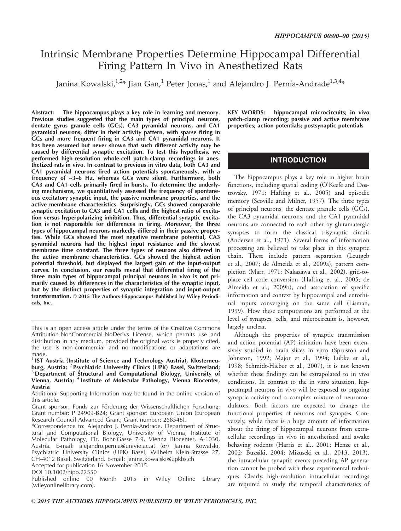# Intrinsic Membrane Properties Determine Hippocampal Differential Firing Pattern In Vivo in Anesthetized Rats

Janina Kowalski, $^{1,2}$ \* Jian Gan, $^{1}$  Peter Jonas, $^{1}$  and Alejandro J. Pernía-Andrade $^{1,3,4}$ \*

Abstract: The hippocampus plays a key role in learning and memory. Previous studies suggested that the main types of principal neurons, dentate gyrus granule cells (GCs), CA3 pyramidal neurons, and CA1 pyramidal neurons, differ in their activity pattern, with sparse firing in GCs and more frequent firing in CA3 and CA1 pyramidal neurons. It has been assumed but never shown that such different activity may be caused by differential synaptic excitation. To test this hypothesis, we performed high-resolution whole-cell patch-clamp recordings in anesthetized rats in vivo. In contrast to previous in vitro data, both CA3 and CA1 pyramidal neurons fired action potentials spontaneously, with a frequency of ~3–6 Hz, whereas GCs were silent. Furthermore, both CA3 and CA1 cells primarily fired in bursts. To determine the underlying mechanisms, we quantitatively assessed the frequency of spontaneous excitatory synaptic input, the passive membrane properties, and the active membrane characteristics. Surprisingly, GCs showed comparable synaptic excitation to CA3 and CA1 cells and the highest ratio of excitation versus hyperpolarizing inhibition. Thus, differential synaptic excitation is not responsible for differences in firing. Moreover, the three types of hippocampal neurons markedly differed in their passive properties. While GCs showed the most negative membrane potential, CA3 pyramidal neurons had the highest input resistance and the slowest membrane time constant. The three types of neurons also differed in the active membrane characteristics. GCs showed the highest action potential threshold, but displayed the largest gain of the input-output curves. In conclusion, our results reveal that differential firing of the three main types of hippocampal principal neurons in vivo is not primarily caused by differences in the characteristics of the synaptic input, but by the distinct properties of synaptic integration and input-output transformation. © 2015 The Authors Hippocampus Published by Wiley Periodicals, Inc.

Accepted for publication 16 November 2015.

KEY WORDS: hippocampal microcircuits; in vivo patch-clamp recording; passive and active membrane properties; action potentials; postsynaptic potentials

## INTRODUCTION

The hippocampus plays a key role in higher brain functions, including spatial coding (O'Keefe and Dostrovsky, 1971; Hafting et al., 2005) and episodic memory (Scoville and Milner, 1957). The three types of principal neurons, the dentate granule cells (GCs), the CA3 pyramidal neurons, and the CA1 pyramidal neurons are connected to each other by glutamatergic synapses to form the classical trisynaptic circuit (Andersen et al., 1971). Several forms of information processing are believed to take place in this synaptic chain. These include pattern separation (Leutgeb et al., 2007; de Almeida et al., 2009a), pattern completion (Marr, 1971; Nakazawa et al., 2002), grid-toplace cell code conversion (Hafting et al., 2005; de Almeida et al., 2009b), and association of specific information and context by hippocampal and entorhinal inputs converging on the same cell (Lisman, 1999). How these computations are performed at the level of synapses, cells, and microcircuits is, however, largely unclear.

Although the properties of synaptic transmission and action potential (AP) initiation have been extensively studied in brain slices in vitro (Spruston and Johnston, 1992; Major et al., 1994; Lübke et al., 1998; Schmidt-Hieber et al., 2007), it is not known whether these findings can be extrapolated to in vivo conditions. In contrast to the in vitro situation, hippocampal neurons in vivo will be exposed to ongoing synaptic activity and a complex mixture of neuromodulators. Both factors are expected to change the functional properties of neurons and synapses. Conversely, while there is a huge amount of information about the firing of hippocampal neurons from extracellular recordings in vivo in anesthetized and awake behaving rodents (Harris et al., 2001; Henze et al., 2002; Buzsáki, 2004; Mizuseki et al., 2013, 2013), the intracellular synaptic events preceding AP generation cannot be probed with these experimental techniques. Clearly, high-resolution intracellular recordings are required to study the temporal characteristics of

This is an open access article under the terms of the [Creative Commons](http://creativecommons.org/licenses/by-nc-nd/4.0/) [Attribution-NonCommercial-NoDerivs](http://creativecommons.org/licenses/by-nc-nd/4.0/) License, which permits use and distribution in any medium, provided the original work is properly cited, the use is non-commercial and no modifications or adaptations are made.

<sup>1</sup> IST Austria (Institute of Science and Technology Austria), Klosterneuburg, Austria; <sup>2</sup> Psychiatric University Clinics (UPK) Basel, Switzerland; <sup>3</sup> Department of Structural and Computational Biology, University of Vienna, Austria; <sup>4</sup> Institute of Molecular Pathology, Vienna Biocenter, Austria

Additional Supporting Information may be found in the online version of this article.

Grant sponsor: Fonds zur Förderung der Wissenschaftlichen Forschung; Grant number: P 24909-B24; Grant sponsor: European Union (European Research Council Advanced Grant; Grant number: 268548).

<sup>\*</sup>Correspondence to: Alejandro J. Pernía-Andrade, Department of Structural and Computational Biology, University of Vienna, Institute of Molecular Pathology, Dr. Bohr-Gasse 7-9, Vienna Biocenter, A-1030, Austria. E-mail: alejandro.pernia@univie.ac.at (or) Janina Kowalski, Psychiatric University Clinics (UPK) Basel, Wilhelm Klein-Strasse 27, CH-4012 Basel, Switzerland. E-mail: janina.kowalski@upkbs.ch

DOI 10.1002/hipo.22550

Published online 00 Month 2015 in Wiley Online Library (wileyonlinelibrary.com).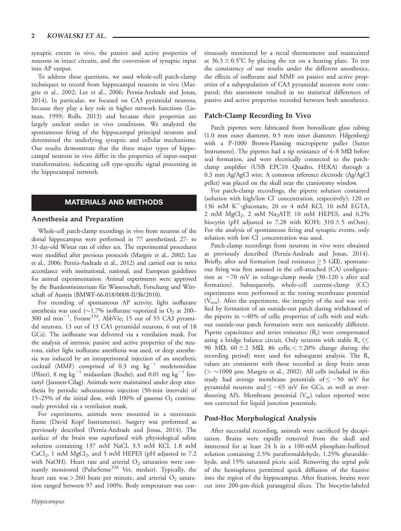synaptic events in vivo, the passive and active properties of neurons in intact circuits, and the conversion of synaptic input into AP output.

To address these questions, we used whole-cell patch-clamp techniques to record from hippocampal neurons in vivo (Margrie et al., 2002; Lee et al., 2006; Pernía-Andrade and Jonas, 2014). In particular, we focused on CA3 pyramidal neurons, because they play a key role in higher network functions (Lisman, 1999; Rolls, 2013) and because their properties are largely unclear under in vivo conditions. We analyzed the spontaneous firing of the hippocampal principal neurons and determined the underlying synaptic and cellular mechanisms. Our results demonstrate that the three major types of hippocampal neurons in vivo differ in the properties of input-output transformation, indicating cell type-specific signal processing in the hippocampal network.

# MATERIALS AND METHODS

#### Anesthesia and Preparation

Whole-cell patch-clamp recordings in vivo from neurons of the dorsal hippocampus were performed in 77 anesthetized, 27- to 31-day-old Wistar rats of either sex. The experimental procedures were modified after previous protocols (Margrie et al., 2002; Lee et al., 2006; Pernía-Andrade et al., 2012) and carried out in strict accordance with institutional, national, and European guidelines for animal experimentation. Animal experiments were approved by the Bundesministerium für Wissenschaft, Forschung und Wirtschaft of Austria (BMWF-66.018/0008-II/3b/2010).

For recording of spontaneous AP activity, light isoflurane anesthesia was used ( $\sim$ 1.7% isoflurane vaporized in  $\mathrm{O}_2$  at 200– 300 ml min<sup>-1</sup>, Forane<sup>TM</sup>, AbbVie; 15 out of 55 CA3 pyramidal neurons, 13 out of 13 CA1 pyramidal neurons, 6 out of 18 GCs). The isoflurane was delivered via a ventilation mask. For the analysis of intrinsic passive and active properties of the neurons, either light isoflurane anesthesia was used, or deep anesthesia was induced by an intraperitoneal injection of an anesthetic cocktail (MMF) comprised of 0.3 mg  $\text{kg}^{-1}$  medetomidine (Pfizer), 8 mg kg<sup>-1</sup> midazolam (Roche), and 0.01 mg kg<sup>-1</sup> fentanyl (Janssen-Cilag). Animals were maintained under deep anesthesia by periodic subcutaneous injection (50-min intervals) of 15–25% of the initial dose, with 100% of gaseous  $O_2$  continuously provided via a ventilation mask.

For experiments, animals were mounted in a stereotaxic frame (David Kopf Instruments). Surgery was performed as previously described (Pernía-Andrade and Jonas, 2014). The surface of the brain was superfused with physiological saline solution containing 137 mM NaCl, 3.5 mM KCl, 1.8 mM  $CaCl<sub>2</sub>$ , 1 mM  $MgCl<sub>2</sub>$ , and 5 mM HEPES (pH adjusted to 7.2 with NaOH). Heart rate and arterial  $O_2$  saturation were constantly monitored (PulseSense<sup>TM</sup> Vet, medair). Typically, the heart rate was  $>$  260 beats per minute, and arterial  $O_2$  saturation ranged between 97 and 100%. Body temperature was continuously monitored by a rectal thermometer and maintained at  $36.5 \pm 0.5^{\circ}$ C by placing the rat on a heating plate. To test the consistency of our results under the different anesthetics, the effects of isoflurane and MMF on passive and active properties of a subpopulation of CA3 pyramidal neurons were compared; this assessment resulted in no statistical differences of passive and active properties recorded between both anesthetics.

#### Patch-Clamp Recording In Vivo

Patch pipettes were fabricated from borosilicate glass tubing (1.0 mm outer diameter, 0.5 mm inner diameter; Hilgenberg) with a P-1000 Brown-Flaming micropipette puller (Sutter Instrument). The pipettes had a tip resistance of  $4-8$  M $\Omega$  before seal formation, and were electrically connected to the patchclamp amplifier (USB EPC10 Quadro, HEKA) through a 0.3 mm Ag/AgCl wire. A common reference electrode (Ag/AgCl pellet) was placed on the skull near the craniotomy window.

For patch-clamp recordings, the pipette solution contained (solution with high/low Cl- concentration, respectively): 120 or 136 mM  $K^+$ -gluconate, 20 or 4 mM KCl, 10 mM EGTA, 2 mM MgCl<sub>2</sub>, 2 mM Na<sub>2</sub>ATP, 10 mM HEPES, and 0.2% biocytin (pH adjusted to 7.28 with KOH;  $310 \pm 5$  mOsm). For the analysis of spontaneous firing and synaptic events, only solution with low Cl<sup>-</sup> concentration was used.

Patch-clamp recordings from neurons in vivo were obtained as previously described (Pernía-Andrade and Jonas, 2014). Briefly, after seal formation (seal resistance  $\geq$  5 G $\Omega$ ), spontaneous firing was first assessed in the cell-attached (CA) configuration at  $-70$  mV in voltage-clamp mode (30–120 s after seal formation). Subsequently, whole-cell current-clamp (CC) experiments were performed at the resting membrane potential (V<sub>rest</sub>). After the experiment, the integrity of the seal was verified by formation of an outside-out patch during withdrawal of the pipette in  $\sim$ 40% of cells; properties of cells with and without outside-out patch formation were not noticeably different. Pipette capacitance and series resistance  $(R_s)$  were compensated using a bridge balance circuit. Only neurons with stable  $R_s \leq$ 90 M $\Omega$ ; 60  $\pm$  2 M $\Omega$ , 86 cells;  $\lt$   $\pm$  20% change during the recording period) were used for subsequent analysis. The  $R_s$ values are consistent with those recorded at deep brain areas  $(> \sim 1000 \mu m$ ; Margrie et al., 2002). All cells included in this study had average membrane potentials of  $\le$  -50 mV for pyramidal neurons and  $\leq -65$  mV for GCs, as well as overshooting APs. Membrane potential  $(V_m)$  values reported were not corrected for liquid junction potentials.

#### Post-Hoc Morphological Analysis

After successful recording, animals were sacrificed by decapitation. Brains were rapidly removed from the skull and immersed for at least 24 h in a 100-mM phosphate-buffered solution containing 2.5% paraformaldehyde, 1.25% glutaraldehyde, and 15% saturated picric acid. Removing the septal pole of the hemispheres permitted quick diffusion of the fixative into the region of the hippocampus. After fixation, brains were cut into 200-mm-thick parasagittal slices. The biocytin-labeled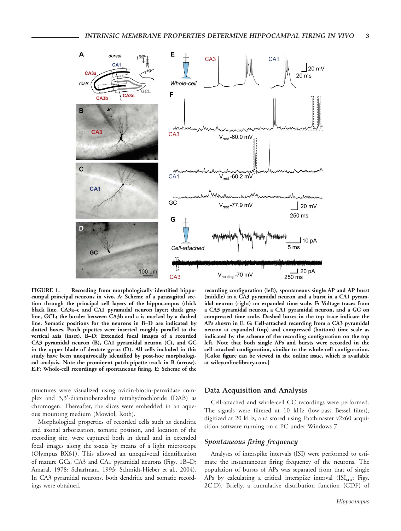

FIGURE 1. Recording from morphologically identified hippocampal principal neurons in vivo. A: Scheme of a parasagittal section through the principal cell layers of the hippocampus (thick black line, CA3a–c and CA1 pyramidal neuron layer; thick gray line, GCL; the border between CA3b and c is marked by a dashed line. Somatic positions for the neurons in B–D are indicated by dotted boxes. Patch pipettes were inserted roughly parallel to the vertical axis (inset). B–D: Extended focal images of a recorded CA3 pyramidal neuron (B), CA1 pyramidal neuron (C), and GC in the upper blade of dentate gyrus (D). All cells included in this study have been unequivocally identified by post-hoc morphological analysis. Note the prominent patch-pipette track in B (arrow). E,F: Whole-cell recordings of spontaneous firing. E: Scheme of the

structures were visualized using avidin-biotin-peroxidase complex and 3,3'-diaminobenzidine tetrahydrochloride (DAB) as chromogen. Thereafter, the slices were embedded in an aqueous mounting medium (Mowiol, Roth).

Morphological properties of recorded cells such as dendritic and axonal arborization, somatic position, and location of the recording site, were captured both in detail and in extended focal images along the z-axis by means of a light microscope (Olympus BX61). This allowed an unequivocal identification of mature GCs, CA3 and CA1 pyramidal neurons (Figs. 1B–D; Amaral, 1978; Scharfman, 1993; Schmidt-Hieber et al., 2004). In CA3 pyramidal neurons, both dendritic and somatic recordings were obtained.

recording configuration (left), spontaneous single AP and AP burst (middle) in a CA3 pyramidal neuron and a burst in a CA1 pyramidal neuron (right) on expanded time scale. F: Voltage traces from a CA3 pyramidal neuron, a CA1 pyramidal neuron, and a GC on compressed time scale. Dashed boxes in the top trace indicate the APs shown in E. G: Cell-attached recording from a CA3 pyramidal neuron at expanded (top) and compressed (bottom) time scale as indicated by the scheme of the recording configuration on the top left. Note that both single APs and bursts were recorded in the cell-attached configuration, similar to the whole-cell configuration. [Color figure can be viewed in the online issue, which is available at [wileyonlinelibrary.com](http://wileyonlinelibrary.com).]

#### Data Acquisition and Analysis

Cell-attached and whole-cell CC recordings were performed. The signals were filtered at 10 kHz (low-pass Bessel filter), digitized at 20 kHz, and stored using Patchmaster v2x60 acquisition software running on a PC under Windows 7.

#### Spontaneous firing frequency

Analyses of interspike intervals (ISI) were performed to estimate the instantaneous firing frequency of the neurons. The population of bursts of APs was separated from that of single APs by calculating a critical interspike interval  $(ISI_{\text{crit}};$  Figs. 2C,D). Briefly, a cumulative distribution function (CDF) of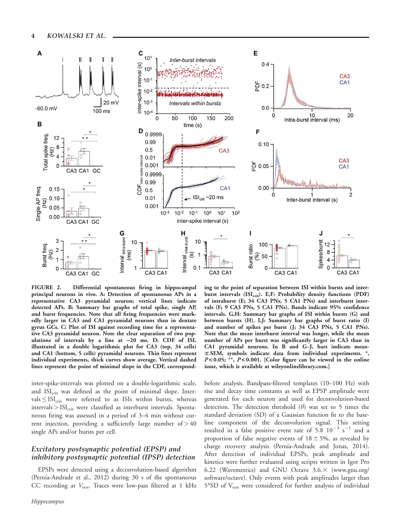

FIGURE 2. Differential spontaneous firing in hippocampal principal neurons in vivo. A: Detection of spontaneous APs in a representative CA3 pyramidal neuron; vertical lines indicate detected APs. B: Summary bar graphs of total spike, single AP, and burst frequencies. Note that all firing frequencies were markedly larger in CA3 and CA1 pyramidal neurons than in dentate gyrus GCs. C: Plot of ISI against recording time for a representative CA3 pyramidal neuron. Note the clear separation of two populations of intervals by a line at  $\sim$  20 ms. D: CDF of ISI, illustrated in a double logarithmic plot for CA3 (top, 34 cells) and CA1 (bottom, 5 cells) pyramidal neurons. Thin lines represent individual experiments, thick curves show average. Vertical dashed lines represent the point of minimal slope in the CDF, correspond-

inter-spike-intervals was plotted on a double-logarithmic scale, and  $ISI_{\text{crit}}$  was defined as the point of minimal slope. Intervals  $\leq$  ISI<sub>crit</sub> were referred to as ISIs within bursts, whereas  $intervals >  $ISI_{\text{crit}}$  were classified as interburst intervals. Sponta$ neous firing was assessed in a period of 3–4 min without current injection, providing a sufficiently large number of  $>40$ single APs and/or bursts per cell.

## Excitatory postsynaptic potential (EPSP) and inhibitory postsynaptic potential (IPSP) detection

EPSPs were detected using a deconvolution-based algorithm (Pernía-Andrade et al., 2012) during 30 s of the spontaneous CC recording at  $V_{\text{rest}}$ . Traces were low-pass filtered at 1 kHz

ing to the point of separation between ISI within bursts and interburst intervals (ISI<sub>crit</sub>). E<sub>r</sub>F: Probability density functions (PDF) of intraburst (E; 34 CA3 PNs, 5 CA1 PNs) and interburst intervals (F; 9 CA3 PNs, 5 CA1 PNs). Bands indicate 95% confidence intervals. G,H: Summary bar graphs of ISI within bursts (G) and between bursts (H). I,J: Summary bar graphs of burst ratio (I) and number of spikes per burst (J; 34 CA3 PNs, 5 CA1 PNs). Note that the mean interburst interval was longer, while the mean number of APs per burst was significantly larger in CA3 than in CA1 pyramidal neurons. In B and G–J, bars indicate mean- $\pm$  SEM, symbols indicate data from individual experiments.  $*$ ,  $P < 0.05$ ; \*\*,  $P < 0.001$ . [Color figure can be viewed in the online issue, which is available at [wileyonlinelibrary.com.](http://wileyonlinelibrary.com)]

before analysis. Bandpass-filtered templates (10–100 Hz) with rise and decay time constants as well as EPSP amplitude were generated for each neuron and used for deconvolution-based detection. The detection threshold  $(\theta)$  was set to 5 times the standard deviation (SD) of a Gaussian function fit to the baseline component of the deconvolution signal. This setting resulted in a false positive event rate of 5.8  $10^{-3}$  s<sup>-1</sup> and a proportion of false negative events of  $18 \pm 5\%$ , as revealed by charge recovery analysis (Pernía-Andrade and Jonas, 2014). After detection of individual EPSPs, peak amplitude and kinetics were further evaluated using scripts written in Igor Pro 6.22 (Wavemetrics) and GNU Octave  $3.6 \times$  [\(www.gnu.org/](http://www.gnu.org/software/octave) [software/octave](http://www.gnu.org/software/octave)). Only events with peak amplitudes larger than 5\*SD of Vrest were considered for further analysis of individual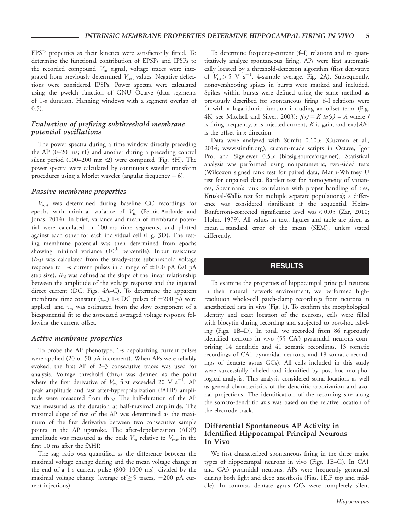EPSP properties as their kinetics were satisfactorily fitted. To determine the functional contribution of EPSPs and IPSPs to the recorded compound  $V_{\text{m}}$  signal, voltage traces were integrated from previously determined  $V_{\text{rest}}$  values. Negative deflections were considered IPSPs. Power spectra were calculated using the pwelch function of GNU Octave (data segments of 1-s duration, Hanning windows with a segment overlap of 0.5).

## Evaluation of prefiring subthreshold membrane potential oscillations

The power spectra during a time window directly preceding the AP (0–20 ms; t1) and another during a preceding control silent period (100–200 ms; t2) were computed (Fig. 3H). The power spectra were calculated by continuous wavelet transform procedures using a Morlet wavelet (angular frequency  $= 6$ ).

#### Passive membrane properties

Vrest was determined during baseline CC recordings for epochs with minimal variance of  $V_{\rm m}$  (Pernía-Andrade and Jonas, 2014). In brief, variance and mean of membrane potential were calculated in 100-ms time segments, and plotted against each other for each individual cell (Fig. 3D). The resting membrane potential was then determined from epochs showing minimal variance (10<sup>th</sup> percentile). Input resistance  $(R_{\rm N})$  was calculated from the steady-state subthreshold voltage response to 1-s current pulses in a range of  $\pm 100$  pA (20 pA step size).  $R_N$  was defined as the slope of the linear relationship between the amplitude of the voltage response and the injected direct current (DC; Figs. 4A–C). To determine the apparent membrane time constant  $(\tau_m)$  1-s DC pulses of -200 pA were applied, and  $\tau_{\rm m}$  was estimated from the slow component of a biexponential fit to the associated averaged voltage response following the current offset.

#### Active membrane properties

To probe the AP phenotype, 1-s depolarizing current pulses were applied (20 or 50 pA increment). When APs were reliably evoked, the first AP of 2–3 consecutive traces was used for analysis. Voltage threshold  $(thry)$  was defined as the point where the first derivative of  $V_m$  first exceeded 20 V s<sup>-1</sup>. AP peak amplitude and fast after-hyperpolarization (fAHP) amplitude were measured from thr $<sub>V</sub>$ . The half-duration of the AP</sub> was measured as the duration at half-maximal amplitude. The maximal slope of rise of the AP was determined as the maximum of the first derivative between two consecutive sample points in the AP upstroke. The after-depolarization (ADP) amplitude was measured as the peak  $V_{\rm m}$  relative to  $V_{\rm rest}$  in the first 10 ms after the fAHP.

The sag ratio was quantified as the difference between the maximal voltage change during and the mean voltage change at the end of a 1-s current pulse (800–1000 ms), divided by the maximal voltage change (average of  $\geq$  5 traces, -200 pA current injections).

To determine frequency-current (f–I) relations and to quantitatively analyze spontaneous firing, APs were first automatically located by a threshold-detection algorithm (first derivative of  $V_m > 5$  V s<sup>-1</sup>, 4-sample average, Fig. 2A). Subsequently, nonovershooting spikes in bursts were marked and included. Spikes within bursts were defined using the same method as previously described for spontaneous firing. f–I relations were fit with a logarithmic function including an offset term (Fig. 4K; see Mitchell and Silver, 2003):  $f(x) = K ln(x) - A$  where f is firing frequency, x is injected current, K is gain, and  $exp[ A/k ]$ is the offset in  $x$  direction.

Data were analyzed with Stimfit 0.10.x (Guzman et al., 2014; [www.stimfit.org](http://www.stimfit.org)), custom-made scripts in Octave, Igor Pro, and Sigviewer 0.5.x (biosig.sourceforge.net). Statistical analysis was performed using nonparametric, two-sided tests (Wilcoxon signed rank test for paired data, Mann-Whitney U test for unpaired data, Bartlett test for homogeneity of variances, Spearman's rank correlation with proper handling of ties, Kruskal-Wallis test for multiple separate populations); a difference was considered significant if the sequential Holm-Bonferroni-corrected significance level was < 0.05 (Zar, 2010; Holm, 1979). All values in text, figures and table are given as mean  $\pm$  standard error of the mean (SEM), unless stated differently.

# RESULTS

To examine the properties of hippocampal principal neurons in their natural network environment, we performed highresolution whole-cell patch-clamp recordings from neurons in anesthetized rats in vivo (Fig. 1). To confirm the morphological identity and exact location of the neurons, cells were filled with biocytin during recording and subjected to post-hoc labeling (Figs. 1B–D). In total, we recorded from 86 rigorously identified neurons in vivo (55 CA3 pyramidal neurons comprising 14 dendritic and 41 somatic recordings, 13 somatic recordings of CA1 pyramidal neurons, and 18 somatic recordings of dentate gyrus GCs). All cells included in this study were successfully labeled and identified by post-hoc morphological analysis. This analysis considered soma location, as well as general characteristics of the dendritic arborization and axonal projections. The identification of the recording site along the somato-dendritic axis was based on the relative location of the electrode track.

#### Differential Spontaneous AP Activity in Identified Hippocampal Principal Neurons In Vivo

We first characterized spontaneous firing in the three major types of hippocampal neurons in vivo (Figs. 1E–G). In CA1 and CA3 pyramidal neurons, APs were frequently generated during both light and deep anesthesia (Figs. 1E,F top and middle). In contrast, dentate gyrus GCs were completely silent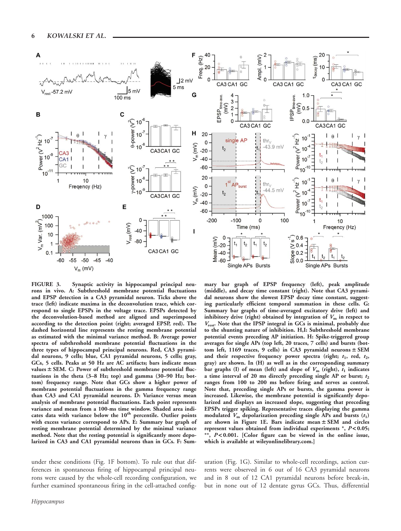

FIGURE 3. Synaptic activity in hippocampal principal neurons in vivo. A: Subthreshold membrane potential fluctuations and EPSP detection in a CA3 pyramidal neuron. Ticks above the trace (left) indicate maxima in the deconvolution trace, which correspond to single EPSPs in the voltage trace. EPSPs detected by the deconvolution-based method are aligned and superimposed according to the detection point (right; averaged EPSP, red). The dashed horizontal line represents the resting membrane potential as estimated with the minimal variance method. B: Average power spectra of subthreshold membrane potential fluctuations in the three types of hippocampal principal neurons. Red, CA3 pyramidal neurons, 9 cells; blue, CA1 pyramidal neurons, 5 cells; gray, GCs, 5 cells. Peaks at 50 Hz are AC artifacts; bars indicate mean values  $\pm$  SEM. C: Power of subthreshold membrane potential fluctuations in the theta (3–8 Hz; top) and gamma (30–90 Hz; bottom) frequency range. Note that GCs show a higher power of membrane potential fluctuations in the gamma frequency range than CA3 and CA1 pyramidal neurons. D: Variance versus mean analysis of membrane potential fluctuations. Each point represents variance and mean from a 100-ms time window. Shaded area indicates data with variance below the 10<sup>th</sup> percentile. Outlier points with excess variance correspond to APs. E: Summary bar graph of resting membrane potential determined by the minimal variance method. Note that the resting potential is significantly more depolarized in CA3 and CA1 pyramidal neurons than in GCs. F: Sum-

under these conditions (Fig. 1F bottom). To rule out that differences in spontaneous firing of hippocampal principal neurons were caused by the whole-cell recording configuration, we further examined spontaneous firing in the cell-attached config-

mary bar graph of EPSP frequency (left), peak amplitude (middle), and decay time constant (right). Note that CA3 pyramidal neurons show the slowest EPSP decay time constant, suggesting particularly efficient temporal summation in these cells. G: Summary bar graphs of time-averaged excitatory drive (left) and inhibitory drive (right) obtained by integration of  $V_m$  in respect to Vrest. Note that the IPSP integral in GCs is minimal, probably due to the shunting nature of inhibition. H,I: Subthreshold membrane potential events preceding AP initiation. H: Spike-triggered group averages for single APs (top left, 20 traces, 7 cells) and bursts (bottom left, 1169 traces, 9 cells) in CA3 pyramidal neurons  $\pm$  SEM and their respective frequency power spectra (right;  $t_1$ , red,  $t_2$ , gray) are shown. In (H) as well as in the corresponding summary bar graphs (I) of mean (left) and slope of  $V_m$  (right),  $t_1$  indicates a time interval of 20 ms directly preceding single AP or burst;  $t_2$ ranges from 100 to 200 ms before firing and serves as control. Note that, preceding single APs or bursts, the gamma power is increased. Likewise, the membrane potential is significantly depolarized and displays an increased slope, suggesting that preceding EPSPs trigger spiking. Representative traces displaying the gamma modulated  $V_m$  depolarization preceding single APs and bursts  $(t_1)$ are shown in Figure 1E. Bars indicate mean  $\pm$  SEM and circles represent values obtained from individual experiments  $*$ ,  $P < 0.05$ ; \*\*, P<0.001. [Color figure can be viewed in the online issue, which is available at [wileyonlinelibrary.com.](http://wileyonlinelibrary.com)]

uration (Fig. 1G). Similar to whole-cell recordings, action currents were observed in 6 out of 16 CA3 pyramidal neurons and in 8 out of 12 CA1 pyramidal neurons before break-in, but in none out of 12 dentate gyrus GCs. Thus, differential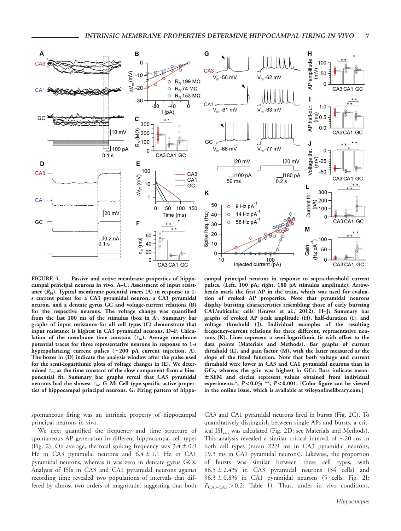

FIGURE 4. Passive and active membrane properties of hippocampal principal neurons in vivo. A–C: Assessment of input resistance  $(R_N)$ . Typical membrane potential traces  $(A)$  in response to 1s current pulses for a CA3 pyramidal neuron, a CA1 pyramidal neuron, and a dentate gyrus GC and voltage-current relations (B) for the respective neurons. The voltage change was quantified from the last 100 ms of the stimulus (box in A). Summary bar graphs of input resistance for all cell types (C) demonstrate that input resistance is highest in CA3 pyramidal neurons. D–F: Calculation of the membrane time constant  $(\tau_m)$ . Average membrane potential traces for three representative neurons in response to 1-s hyperpolarizing current pulses  $(-200 \text{ pA}$  current injection, A). The boxes in (D) indicate the analysis window after the pulse used for the semi-logarithmic plots of voltage changes in (E). We determined  $\tau_m$  as the time constant of the slow component from a biexponential fit. Summary bar graphs reveal that CA3 pyramidal neurons had the slowest  $\tau_{m}$ . G–M: Cell type-specific active properties of hippocampal principal neurons. G: Firing pattern of hippo-

spontaneous firing was an intrinsic property of hippocampal principal neurons in vivo.

We next quantified the frequency and time structure of spontaneous AP generation in different hippocampal cell types (Fig. 2). On average, the total spiking frequency was  $3.4 \pm 0.9$ Hz in CA3 pyramidal neurons and  $6.4 \pm 1.1$  Hz in CA1 pyramidal neurons, whereas it was zero in dentate gyrus GCs. Analysis of ISIs in CA3 and CA1 pyramidal neurons against recording time revealed two populations of intervals that differed by almost two orders of magnitude, suggesting that both

campal principal neurons in response to supra-threshold current pulses. (Left, 100 pA; right, 180 pA stimulus amplitude). Arrowheads mark the first AP in the train, which was used for evaluation of evoked AP properties. Note that pyramidal neurons display bursting characteristics resembling those of early bursting CA1/subicular cells (Graves et al., 2012). H–J: Summary bar graphs of evoked AP peak amplitude (H), half-duration (I), and voltage threshold (J). Individual examples of the resulting frequency-current relations for three different, representative neurons (K). Lines represent a semi-logarithmic fit with offset to the data points (Materials and Methods). Bar graphs of current threshold (L), and gain factor (M), with the latter measured as the slope of the fitted function. Note that both voltage and current threshold were lower in CA3 and CA1 pyramidal neurons than in GCs, whereas the gain was highest in GCs. Bars indicate mean- $\pm$  SEM and circles represent values obtained from individual experiments.\*,  $P < 0.05$ ; \*\*,  $P < 0.001$ . [Color figure can be viewed in the online issue, which is available at [wileyonlinelibrary.com](http://wileyonlinelibrary.com).]

CA3 and CA1 pyramidal neurons fired in bursts (Fig. 2C). To quantitatively distinguish between single APs and bursts, a critical ISI<sub>crit</sub> was calculated (Fig. 2D; see Materials and Methods). This analysis revealed a similar critical interval of  $\sim$ 20 ms in both cell types (mean 22.9 ms in CA3 pyramidal neurons; 19.3 ms in CA1 pyramidal neurons). Likewise, the proportion of bursts was similar between these cell types, with  $86.5 \pm 2.4\%$  in CA3 pyramidal neurons (34 cells) and  $96.3 \pm 0.8\%$  in CA1 pyramidal neurons (5 cells; Fig. 2I;  $P_{\text{CA3-CA1}} > 0.2$ ; Table 1). Thus, under in vivo conditions,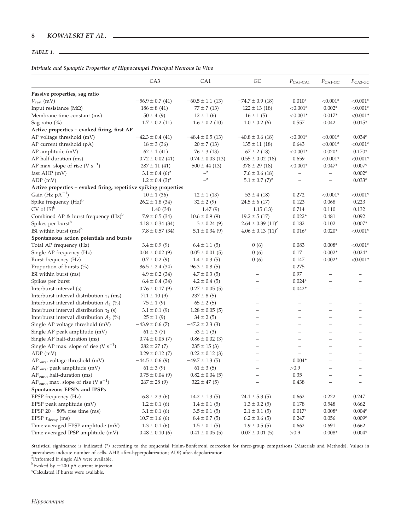## TABLE 1.

## Intrinsic and Synaptic Properties of Hippocampal Principal Neurons In Vivo

|                                                                  | CA <sub>3</sub>                | CA1                     | GC                                | $P_{\text{CA3-CA1}}$     | $P_{\text{CA1-GC}}$      | $P_{\text{CA3-GC}}$ |
|------------------------------------------------------------------|--------------------------------|-------------------------|-----------------------------------|--------------------------|--------------------------|---------------------|
| Passive properties, sag ratio                                    |                                |                         |                                   |                          |                          |                     |
| $V_{\mathrm{rest}}\left(\mathrm{mV}\right)$                      | $-56.9 \pm 0.7$ (41)           | $-60.5 \pm 1.1$ (13)    | $-74.7 \pm 0.9$ (18)              | $0.010*$                 | ${<}0.001*$              | $< 0.001*$          |
| Input resistance ( $M\Omega$ )                                   | $186 \pm 8$ (41)               | $77 \pm 7(13)$          | $122 \pm 13$ (18)                 | ${<}0.001*$              | $0.002*$                 | $< 0.001*$          |
| Membrane time constant (ms)                                      | $50 \pm 4$ (9)                 | $12 \pm 1$ (6)          | $16 \pm 1$ (5)                    | ${<}0.001*$              | $0.017*$                 | $< 0.001*$          |
| Sag ratio $(\%)$                                                 | $1.7 \pm 0.2$ (11)             | $1.6 \pm 0.2$ (10)      | $1.0 \pm 0.2$ (6)                 | 0.557                    | 0.042                    | $0.015*$            |
| Active properties - evoked firing, first AP                      |                                |                         |                                   |                          |                          |                     |
| AP voltage threshold (mV)                                        | $-42.3 \pm 0.4$ (41)           | $-48.4 \pm 0.5$ (13)    | $-40.8 \pm 0.6$ (18)              | ${<}0.001*$              | ${<}0.001*$              | $0.034*$            |
| AP current threshold (pA)                                        | $18 \pm 3$ (36)                | $20 \pm 7(13)$          | $135 \pm 11$ (18)                 | 0.643                    | ${<}0.001*$              | $< 0.001*$          |
| AP amplitude (mV)                                                | $62 \pm 1$ (41)                | $76 \pm 3(13)$          | $67 \pm 2(18)$                    | ${<}0.001*$              | $0.020*$                 | $0.170*$            |
| AP half-duration (ms)                                            | $0.72 \pm 0.02$ (41)           | $0.74 \pm 0.03$ (13)    | $0.55 \pm 0.02$ (18)              | 0.659                    | ${<}0.001*$              | $< 0.001*$          |
| AP max. slope of rise (V $s^{-1}$ )                              | $287 \pm 11$ (41)              | $500 \pm 44$ (13)       | $378 \pm 29$ (18)                 | ${<}0.001*$              | $0.047*$                 | $0.007*$            |
| fast AHP (mV)                                                    | $3.1 \pm 0.4$ (6) <sup>a</sup> | $\mathbf{=}^{\text{a}}$ | $7.6 \pm 0.6$ (18)                | $\overline{\phantom{m}}$ | $\overline{\phantom{a}}$ | $0.002*$            |
| ADP (mV)                                                         | $1.2 \pm 0.4$ (3) <sup>a</sup> | $\overline{a}$          | $5.1 \pm 0.7$ (7) <sup>a</sup>    | $\overline{\phantom{m}}$ | $\qquad \qquad -$        | $0.033*$            |
| Active properties - evoked firing, repetitive spiking properties |                                |                         |                                   |                          |                          |                     |
| Gain (Hz $pA^{-1}$ )                                             | $10 \pm 1$ (36)                | $12 \pm 1$ (13)         | $53 \pm 4$ (18)                   | 0.272                    | ${<}0.001*$              | ${<}0.001*$         |
| Spike frequency (Hz) <sup>b</sup>                                | $26.2 \pm 1.8$ (34)            | $32 \pm 2(9)$           | $24.5 \pm 6$ (17)                 | 0.123                    | 0.068                    | 0.223               |
| $CV$ of $ISI^b$                                                  | 1.40(34)                       | 1.47(9)                 | 1.15(13)                          | 0.714                    | 0.110                    | 0.132               |
| Combined AP & burst frequency (Hz) <sup>b</sup>                  | $7.9 \pm 0.5$ (34)             | $10.6 \pm 0.9$ (9)      | $19.2 \pm 5(17)$                  | $0.022*$                 | 0.481                    | 0.092               |
| Spikes per burst <sup>b</sup>                                    | $4.18 \pm 0.34$ (34)           | $3 \pm 0.24$ (9)        | $2.64 \pm 0.39$ $(11)^{c}$        | 0.182                    | 0.102                    | $0.007*$            |
| ISI within burst $(ms)^b$                                        | $7.8 \pm 0.57$ (34)            | $5.1 \pm 0.34$ (9)      | $4.06 \pm 0.13$ (11) <sup>c</sup> | $0.016*$                 | $0.020*$                 | $< 0.001*$          |
| Spontaneous action potentials and bursts                         |                                |                         |                                   |                          |                          |                     |
| Total AP frequency (Hz)                                          | $3.4 \pm 0.9$ (9)              | $6.4 \pm 1.1$ (5)       | 0(6)                              | 0.083                    | $0.008*$                 | $< 0.001*$          |
| Single AP frequency (Hz)                                         | $0.04 \pm 0.02$ (9)            | $0.05 \pm 0.01$ (5)     | 0(6)                              | 0.17                     | $0.002*$                 | $0.024*$            |
| Burst frequency (Hz)                                             | $0.7 \pm 0.2$ (9)              | $1.4 \pm 0.3$ (5)       | 0(6)                              | 0.147                    | $0.002*$                 | $< 0.001*$          |
| Proportion of bursts (%)                                         | $86.5 \pm 2.4$ (34)            | $96.3 \pm 0.8$ (5)      |                                   | 0.275                    | $\qquad \qquad -$        |                     |
| ISI within burst (ms)                                            | $4.9 \pm 0.2$ (34)             | $4.7 \pm 0.3$ (5)       |                                   | $0.97\,$                 |                          |                     |
| Spikes per burst                                                 | $6.4 \pm 0.4$ (34)             | $4.2 \pm 0.4$ (5)       |                                   | $0.024*$                 |                          |                     |
| Interburst interval (s)                                          | $0.76 \pm 0.17$ (9)            | $0.27 \pm 0.05$ (5)     |                                   | $0.042*$                 |                          |                     |
| Interburst interval distribution $\tau_1$ (ms)                   | $711 \pm 10(9)$                | $237 \pm 8(5)$          |                                   | $\equiv$                 | $\equiv$                 |                     |
| Interburst interval distribution $A_1$ (%)                       | $75 \pm 1(9)$                  | $65 \pm 2(5)$           |                                   | $\overline{\phantom{0}}$ | L,                       |                     |
| Interburst interval distribution $\tau_2$ (s)                    | $3.1 \pm 0.1$ (9)              | $1.28 \pm 0.05$ (5)     |                                   |                          | $\overline{\phantom{0}}$ |                     |
| Interburst interval distribution $A_2$ (%)                       | $25 \pm 1$ (9)                 | $34 \pm 2(5)$           |                                   | L,                       |                          |                     |
| Single AP voltage threshold (mV)                                 | $-43.9 \pm 0.6$ (7)            | $-47.2 \pm 2.3$ (3)     |                                   | L,                       | $\overline{\phantom{0}}$ |                     |
| Single AP peak amplitude (mV)                                    | $61 \pm 3$ (7)                 | $53 \pm 1$ (3)          |                                   |                          | $\overline{\phantom{0}}$ |                     |
| Single AP half-duration (ms)                                     | $0.74 \pm 0.05$ (7)            | $0.86 \pm 0.02$ (3)     |                                   |                          | L,                       |                     |
| Single AP max. slope of rise (V $s^{-1}$ )                       | $282 \pm 27$ (7)               | $235 \pm 15$ (3)        |                                   |                          |                          |                     |
| ADP (mV)                                                         | $0.29 \pm 0.12$ (7)            | $0.22 \pm 0.12$ (3)     |                                   |                          |                          |                     |
| AP <sub>burst</sub> voltage threshold (mV)                       | $-44.5 \pm 0.6$ (9)            | $-49.7 \pm 1.3$ (5)     |                                   | $0.004*$                 |                          |                     |
| AP <sub>burst</sub> peak amplitude (mV)                          | $61 \pm 3$ (9)                 | $61 \pm 3$ (5)          |                                   | >0.9                     |                          |                     |
| AP <sub>burst</sub> half-duration (ms)                           | $0.75 \pm 0.04$ (9)            | $0.82 \pm 0.04$ (5)     |                                   | 0.35                     | $\qquad \qquad -$        |                     |
| $AP_{burst}$ max. slope of rise (V s <sup>-1</sup> )             | $267 \pm 28$ (9)               | $322 \pm 47$ (5)        |                                   | 0.438                    |                          |                     |
| Spontaneous EPSPs and IPSPs                                      |                                |                         |                                   |                          |                          |                     |
| EPSP frequency (Hz)                                              | $16.8 \pm 2.3$ (6)             | $14.2 \pm 1.3$ (5)      | $24.1 \pm 5.3$ (5)                | 0.662                    | 0.222                    | 0.247               |
| EPSP peak amplitude (mV)                                         | $1.2 \pm 0.1$ (6)              | $1.4 \pm 0.1$ (5)       | $1.3 \pm 0.2$ (5)                 | 0.178                    | 0.548                    | 0.662               |
| EPSP $20 - 80\%$ rise time (ms)                                  | $3.1 \pm 0.1$ (6)              | $3.5 \pm 0.1$ (5)       | $2.1 \pm 0.1$ (5)                 | $0.017*$                 | $0.008*$                 | $0.004*$            |
| EPSP $\tau_{decay}$ (ms)                                         | $10.7 \pm 1.6$ (6)             | $8.4 \pm 0.7$ (5)       | $6.2 \pm 0.6$ (5)                 | 0.247                    | 0.056                    | $0.009*$            |
| Time-averaged EPSP amplitude (mV)                                | $1.3 \pm 0.1$ (6)              | $1.5 \pm 0.1$ (5)       | $1.9 \pm 0.5$ (5)                 | 0.662                    | 0.691                    | 0.662               |
| Time-averaged IPSP amplitude (mV)                                | $0.48 \pm 0.10$ (6)            | $0.41 \pm 0.05$ (5)     | $0.07 \pm 0.01$ (5)               | >0.9                     | $0.008*$                 | $0.004*$            |
|                                                                  |                                |                         |                                   |                          |                          |                     |

Statistical significance is indicated (\*) according to the sequential Holm-Bonferroni correction for three-group comparisons (Materials and Methods). Values in parentheses indicate number of cells. AHP, after-hyperpolarization; ADP, after-depolarization.

<sup>a</sup>Performed if single APs were available.

<sup>b</sup>Evoked by  $+200$  pA current injection.

Calculated if bursts were available.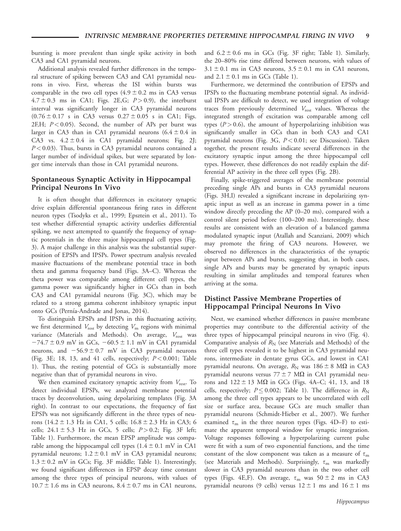bursting is more prevalent than single spike activity in both CA3 and CA1 pyramidal neurons.

Additional analysis revealed further differences in the temporal structure of spiking between CA3 and CA1 pyramidal neurons in vivo. First, whereas the ISI within bursts was comparable in the two cell types  $(4.9 \pm 0.2 \text{ ms in CA3 versus})$  $4.7 \pm 0.3$  ms in CA1; Figs. 2E, G;  $P > 0.9$ ), the interburst interval was significantly longer in CA3 pyramidal neurons  $(0.76 \pm 0.17 \text{ s} \text{ in CA3 versus } 0.27 \pm 0.05 \text{ s} \text{ in CA1; Figs.}$ 2F,H;  $P < 0.05$ ). Second, the number of APs per burst was larger in CA3 than in CA1 pyramidal neurons  $(6.4 \pm 0.4 \text{ in}$ CA3 vs.  $4.2 \pm 0.4$  in CA1 pyramidal neurons; Fig. 2J;  $P < 0.03$ ). Thus, bursts in CA3 pyramidal neurons contained a larger number of individual spikes, but were separated by longer time intervals than those in CA1 pyramidal neurons.

## Spontaneous Synaptic Activity in Hippocampal Principal Neurons In Vivo

It is often thought that differences in excitatory synaptic drive explain differential spontaneous firing rates in different neuron types (Tsodyks et al., 1999; Epsztein et al., 2011). To test whether differential synaptic activity underlies differential spiking, we next attempted to quantify the frequency of synaptic potentials in the three major hippocampal cell types (Fig. 3). A major challenge in this analysis was the substantial superposition of EPSPs and IPSPs. Power spectrum analysis revealed massive fluctuations of the membrane potential trace in both theta and gamma frequency band (Figs. 3A–C). Whereas the theta power was comparable among different cell types, the gamma power was significantly higher in GCs than in both CA3 and CA1 pyramidal neurons (Fig. 3C), which may be related to a strong gamma coherent inhibitory synaptic input onto GCs (Pernía-Andrade and Jonas, 2014).

To distinguish EPSPs and IPSPs in this fluctuating activity, we first determined  $V_{\text{rest}}$  by detecting  $V_{\text{m}}$  regions with minimal variance (Materials and Methods). On average,  $V_{\text{rest}}$  was  $-74.7 \pm 0.9$  mV in GCs,  $-60.5 \pm 1.1$  mV in CA1 pyramidal neurons, and  $-56.9 \pm 0.7$  mV in CA3 pyramidal neurons (Fig. 3E; 18, 13, and 41 cells, respectively;  $P < 0.001$ ; Table 1). Thus, the resting potential of GCs is substantially more negative than that of pyramidal neurons in vivo.

We then examined excitatory synaptic activity from  $V_{\text{rest}}$ . To detect individual EPSPs, we analyzed membrane potential traces by deconvolution, using depolarizing templates (Fig. 3A right). In contrast to our expectations, the frequency of fast EPSPs was not significantly different in the three types of neurons  $(14.2 \pm 1.3 \text{ Hz} \cdot \text{in CA1}, 5 \text{ cells}; 16.8 \pm 2.3 \text{ Hz} \cdot \text{in CA3}; 6$ cells;  $24.1 \pm 5.3$  Hz in GCs, 5 cells;  $P > 0.2$ ; Fig. 3F left; Table 1). Furthermore, the mean EPSP amplitude was comparable among the hippocampal cell types  $(1.4 \pm 0.1 \text{ mV} \cdot \text{C}$ A1 pyramidal neurons;  $1.2 \pm 0.1$  mV in CA3 pyramidal neurons;  $1.3 \pm 0.2$  mV in GCs; Fig. 3F middle; Table 1). Interestingly, we found significant differences in EPSP decay time constant among the three types of principal neurons, with values of  $10.7 \pm 1.6$  ms in CA3 neurons,  $8.4 \pm 0.7$  ms in CA1 neurons,

and  $6.2 \pm 0.6$  ms in GCs (Fig. 3F right; Table 1). Similarly, the 20–80% rise time differed between neurons, with values of  $3.1 \pm 0.1$  ms in CA3 neurons,  $3.5 \pm 0.1$  ms in CA1 neurons, and  $2.1 \pm 0.1$  ms in GCs (Table 1).

Furthermore, we determined the contribution of EPSPs and IPSPs to the fluctuating membrane potential signal. As individual IPSPs are difficult to detect, we used integration of voltage traces from previously determined  $V_{\text{rest}}$  values. Whereas the integrated strength of excitation was comparable among cell types  $(P > 0.6)$ , the amount of hyperpolarizing inhibition was significantly smaller in GCs than in both CA3 and CA1 pyramidal neurons (Fig. 3G,  $P < 0.01$ ; see Discussion). Taken together, the present results indicate several differences in the excitatory synaptic input among the three hippocampal cell types. However, these differences do not readily explain the differential AP activity in the three cell types (Fig. 2B).

Finally, spike-triggered averages of the membrane potential preceding single APs and bursts in CA3 pyramidal neurons (Figs. 3H,I) revealed a significant increase in depolarizing synaptic input as well as an increase in gamma power in a time window directly preceding the AP (0–20 ms), compared with a control silent period before (100–200 ms). Interestingly, these results are consistent with an elevation of a balanced gamma modulated synaptic input (Atallah and Scanziani, 2009) which may promote the firing of CA3 neurons. However, we observed no differences in the characteristics of the synaptic input between APs and bursts, suggesting that, in both cases, single APs and bursts may be generated by synaptic inputs resulting in similar amplitudes and temporal features when arriving at the soma.

## Distinct Passive Membrane Properties of Hippocampal Principal Neurons In Vivo

Next, we examined whether differences in passive membrane properties may contribute to the differential activity of the three types of hippocampal principal neurons in vivo (Fig. 4). Comparative analysis of  $R_N$  (see Materials and Methods) of the three cell types revealed it to be highest in CA3 pyramidal neurons, intermediate in dentate gyrus GCs, and lowest in CA1 pyramidal neurons. On average,  $R_N$  was  $186 \pm 8$  M $\Omega$  in CA3 pyramidal neurons versus  $77 \pm 7$  M $\Omega$  in CA1 pyramidal neurons and  $122 \pm 13$  MΩ in GCs (Figs. 4A–C; 41, 13, and 18 cells, respectively;  $P \le 0.002$ ; Table 1). The difference in  $R_{\rm N}$ among the three cell types appears to be uncorrelated with cell size or surface area, because GCs are much smaller than pyramidal neurons (Schmidt-Hieber et al., 2007). We further examined  $\tau_{\rm m}$  in the three neuron types (Figs. 4D–F) to estimate the apparent temporal window for synaptic integration. Voltage responses following a hyperpolarizing current pulse were fit with a sum of two exponential functions, and the time constant of the slow component was taken as a measure of  $\tau_m$ (see Materials and Methods). Surprisingly,  $\tau_{\rm m}$  was markedly slower in CA3 pyramidal neurons than in the two other cell types (Figs. 4E,F). On average,  $\tau_m$  was  $50 \pm 2$  ms in CA3 pyramidal neurons (9 cells) versus  $12 \pm 1$  ms and  $16 \pm 1$  ms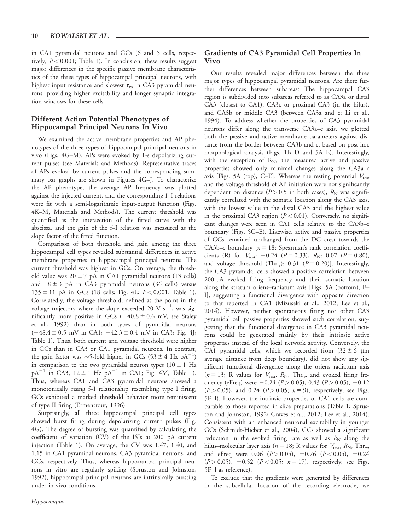in CA1 pyramidal neurons and GCs (6 and 5 cells, respectively;  $P < 0.001$ ; Table 1). In conclusion, these results suggest major differences in the specific passive membrane characteristics of the three types of hippocampal principal neurons, with highest input resistance and slowest  $\tau_m$  in CA3 pyramidal neurons, providing higher excitability and longer synaptic integration windows for these cells.

# Different Action Potential Phenotypes of Hippocampal Principal Neurons In Vivo

We examined the active membrane properties and AP phenotypes of the three types of hippocampal principal neurons in vivo (Figs. 4G–M). APs were evoked by 1-s depolarizing current pulses (see Materials and Methods). Representative traces of APs evoked by current pulses and the corresponding summary bar graphs are shown in Figures 4G–J. To characterize the AP phenotype, the average AP frequency was plotted against the injected current, and the corresponding f–I relations were fit with a semi-logarithmic input-output function (Figs. 4K–M, Materials and Methods). The current threshold was quantified as the intersection of the fitted curve with the abscissa, and the gain of the f–I relation was measured as the slope factor of the fitted function.

Comparison of both threshold and gain among the three hippocampal cell types revealed substantial differences in active membrane properties in hippocampal principal neurons. The current threshold was highest in GCs. On average, the threshold value was  $20 \pm 7$  pA in CA1 pyramidal neurons (13 cells) and  $18 \pm 3$  pA in CA3 pyramidal neurons (36 cells) versus  $135 \pm 11$  pA in GCs (18 cells; Fig. 4L;  $P < 0.001$ ; Table 1). Correlatedly, the voltage threshold, defined as the point in the voltage trajectory where the slope exceeded 20 V  $\text{s}^{-1}$ , was significantly more positive in GCs  $(-40.8 \pm 0.6 \text{ mV})$ , see Staley et al., 1992) than in both types of pyramidal neurons  $(-48.4 \pm 0.5 \text{ mV} \text{ in CA1}; -42.3 \pm 0.4 \text{ mV} \text{ in CA3}; \text{Fig. 4J};$ Table 1). Thus, both current and voltage threshold were higher in GCs than in CA3 or CA1 pyramidal neurons. In contrast, the gain factor was  $\sim$ 5-fold higher in GCs (53 ± 4 Hz pA<sup>-1</sup>) in comparison to the two pyramidal neuron types  $(10 \pm 1 \text{ Hz})$  $pA^{-1}$  in CA3, 12  $\pm$  1 Hz  $pA^{-1}$  in CA1; Fig. 4M, Table 1). Thus, whereas CA1 and CA3 pyramidal neurons showed a monotonically rising f–I relationship resembling type I firing, GCs exhibited a marked threshold behavior more reminiscent of type II firing (Ermentrout, 1996).

Surprisingly, all three hippocampal principal cell types showed burst firing during depolarizing current pulses (Fig. 4G). The degree of bursting was quantified by calculating the coefficient of variation (CV) of the ISIs at 200 pA current injection (Table 1). On average, the CV was 1.47, 1.40, and 1.15 in CA1 pyramidal neurons, CA3 pyramidal neurons, and GCs, respectively. Thus, whereas hippocampal principal neurons in vitro are regularly spiking (Spruston and Johnston, 1992), hippocampal principal neurons are intrinsically bursting under in vivo conditions.

## Gradients of CA3 Pyramidal Cell Properties In Vivo

Our results revealed major differences between the three major types of hippocampal pyramidal neurons. Are there further differences between subareas? The hippocampal CA3 region is subdivided into subareas referred to as CA3a or distal CA3 (closest to CA1), CA3c or proximal CA3 (in the hilus), and CA3b or middle CA3 (between CA3a and c; Li et al., 1994). To address whether the properties of CA3 pyramidal neurons differ along the transverse CA3a–c axis, we plotted both the passive and active membrane parameters against distance from the border between CA3b and c, based on post-hoc morphological analysis (Figs. 1B–D and 5A–E). Interestingly, with the exception of  $R_N$ , the measured active and passive properties showed only minimal changes along the CA3a–c axis [Figs. 5A (top), C–E]. Whereas the resting potential  $V_{\text{rest}}$ and the voltage threshold of AP initiation were not significantly dependent on distance ( $P > 0.5$  in both cases),  $R_N$  was significantly correlated with the somatic location along the CA3 axis, with the lowest value in the distal CA3 and the highest value in the proximal CA3 region  $(P < 0.01)$ . Conversely, no significant changes were seen in CA1 cells relative to the CA3b–c boundary (Figs. 5C–E). Likewise, active and passive properties of GCs remained unchanged from the DG crest towards the CA3b–c boundary  $[n = 18;$  Spearman's rank correlation coefficients (R) for  $V_{\text{rest}}$ : -0.24 (P = 0.33), R<sub>N</sub>: 0.07 (P = 0.80), and voltage threshold (Thr.,): 0.31 ( $P = 0.20$ )]. Interestingly, the CA3 pyramidal cells showed a positive correlation between 200-pA evoked firing frequency and their somatic location along the stratum oriens–radiatum axis [Figs. 5A (bottom), F– I], suggesting a functional divergence with opposite direction to that reported in CA1 (Mizuseki et al., 2012; Lee et al., 2014). However, neither spontaneous firing nor other CA3 pyramidal cell passive properties showed such correlation, suggesting that the functional divergence in CA3 pyramidal neurons could be generated mainly by their intrinsic active properties instead of the local network activity. Conversely, the CA1 pyramidal cells, which we recorded from  $(32 \pm 6 \mu m)$ average distance from deep boundary), did not show any significant functional divergence along the oriens–radiatum axis  $(n = 13;$  R values for  $V_{\text{rest}}$ ,  $R_{\text{N}}$ , Thr.<sub>v</sub>, and evoked firing frequency (eFreq) were  $-0.24$  ( $P > 0.05$ ), 0.43 ( $P > 0.05$ ),  $-0.12$  $(P > 0.05)$ , and 0.24  $(P > 0.05; n = 9)$ , respectively; see Figs. 5F–I). However, the intrinsic properties of CA1 cells are comparable to those reported in slice preparations (Table 1; Spruston and Johnston, 1992; Graves et al., 2012; Lee et al., 2014). Consistent with an enhanced neuronal excitability in younger GCs (Schmidt-Hieber et al., 2004), GCs showed a significant reduction in the evoked firing rate as well as  $R_N$  along the hilus–molecular layer axis ( $n = 18$ ; R values for  $V_{\text{rest}}, R_{\text{N}},$  Thr.<sub>v</sub>, and eFreq were 0.06  $(P > 0.05)$ , -0.76  $(P < 0.05)$ , -0.24  $(P > 0.05)$ , -0.52 ( $P < 0.05$ ;  $n = 17$ ), respectively, see Figs. 5F–I as reference).

To exclude that the gradients were generated by differences in the subcellular location of the recording electrode, we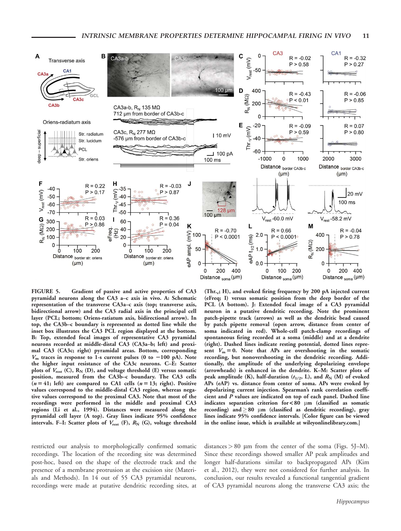

FIGURE 5. Gradient of passive and active properties of CA3 pyramidal neurons along the CA3 a–c axis in vivo. A: Schematic representation of the transverse CA3a–c axis (top; transverse axis, bidirectional arrow) and the CA3 radial axis in the principal cell layer (PCL; bottom; Oriens-ratiatum axis, bidirectional arrow). In top, the CA3b–c boundary is represented as dotted line while the inset box illustrates the CA3 PCL region displayed at the bottom. B: Top, extended focal images of representative CA3 pyramidal neurons recorded at middle-distal CA3 (CA3a–b; left) and proximal CA3 (CA3c; right) pyramidal areas. Bottom, corresponding  $V<sub>m</sub>$  traces in response to 1-s current pulses (0 to -100 pA). Note the higher input resistance of the CA3c neurons. C–E: Scatter plots of  $V_{\text{rest}}$  (C),  $R_N$  (D), and voltage threshold (E) versus somatic position, measured from the CA3b–c boundary. The CA3 cells  $(n = 41; \text{ left})$  are compared to CA1 cells  $(n = 13; \text{ right})$ . Positive values correspond to the middle-distal CA3 region, whereas negative values correspond to the proximal CA3. Note that most of the recordings were performed in the middle and proximal CA3 regions (Li et al., 1994). Distances were measured along the pyramidal cell layer (A top). Gray lines indicate 95% confidence intervals. F-I: Scatter plots of  $V_{\text{rest}}$  (F),  $R_N$  (G), voltage threshold

(Thr.<sub>v</sub>; H), and evoked firing frequency by 200 pA injected current (eFreq; I) versus somatic position from the deep border of the PCL (A bottom). J: Extended focal image of a CA3 pyramidal neuron in a putative dendritic recording. Note the prominent patch-pipette track (arrows) as well as the dendritic bead caused by patch pipette removal (open arrow, distance from center of soma indicated in red). Whole-cell patch-clamp recordings of spontaneous firing recorded at a soma (middle) and at a dendrite (right). Dashed lines indicate resting potential, dotted lines represent  $V_m = 0$ . Note that APs are overshooting in the somatic recording, but nonovershooting in the dendritic recording. Additionally, the amplitude of the underlying depolarizing envelope (arrowheads) is enhanced in the dendrite. K–M: Scatter plots of peak amplitude (K), half-duration  $(t_{1/2}, L)$ , and  $R_N$  (M) of evoked APs (eAP) vs. distance from center of soma. APs were evoked by depolarizing current injection. Spearman's rank correlation coefficient and  $\overline{P}$  values are indicated on top of each panel. Dashed line indicates separation criterion for <80  $\mu$ m (classified as somatic recording) and  $\geq 80$  µm (classified as dendritic recording), gray lines indicate 95% confidence intervals. [Color figure can be viewed in the online issue, which is available at [wileyonlinelibrary.com](http://wileyonlinelibrary.com).]

restricted our analysis to morphologically confirmed somatic recordings. The location of the recording site was determined post-hoc, based on the shape of the electrode track and the presence of a membrane protrusion at the excision site (Materials and Methods). In 14 out of 55 CA3 pyramidal neurons, recordings were made at putative dendritic recording sites, at

distances  $> 80$  µm from the center of the soma (Figs. 5J–M). Since these recordings showed smaller AP peak amplitudes and longer half-durations similar to backpropagated APs (Kim et al., 2012), they were not considered for further analysis. In conclusion, our results revealed a functional tangential gradient of CA3 pyramidal neurons along the transverse CA3 axis; the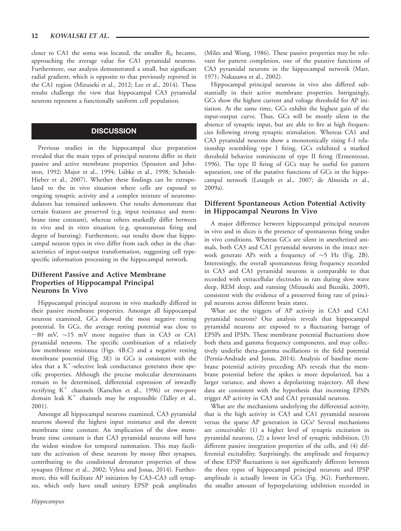closer to CA1 the soma was located, the smaller  $R_N$  became, approaching the average value for CA1 pyramidal neurons. Furthermore, our analysis demonstrated a small, but significant radial gradient, which is opposite to that previously reported in the CA1 region (Mizuseki et al., 2012; Lee et al., 2014). These results challenge the view that hippocampal CA3 pyramidal neurons represent a functionally uniform cell population.

## **DISCUSSION**

Previous studies in the hippocampal slice preparation revealed that the main types of principal neurons differ in their passive and active membrane properties (Spruston and Johnston, 1992; Major et al., 1994; Lübke et al., 1998; Schmidt-Hieber et al., 2007). Whether these findings can be extrapolated to the in vivo situation where cells are exposed to ongoing synaptic activity and a complex mixture of neuromodulators has remained unknown. Our results demonstrate that certain features are preserved (e.g. input resistance and membrane time constant), whereas others markedly differ between in vivo and in vitro situation (e.g. spontaneous firing and degree of bursting). Furthermore, our results show that hippocampal neuron types in vivo differ from each other in the characteristics of input-output transformation, suggesting cell typespecific information processing in the hippocampal network.

## Different Passive and Active Membrane Properties of Hippocampal Principal Neurons In Vivo

Hippocampal principal neurons in vivo markedly differed in their passive membrane properties. Amongst all hippocampal neurons examined, GCs showed the most negative resting potential. In GCs, the average resting potential was close to  $-80$  mV,  $\sim$ 15 mV more negative than in CA3 or CA1 pyramidal neurons. The specific combination of a relatively low membrane resistance (Figs. 4B,C) and a negative resting membrane potential (Fig. 3E) in GCs is consistent with the idea that a  $K^+$ -selective leak conductance generates these specific properties. Although the precise molecular determinants remain to be determined, differential expression of inwardly rectifying  $K^+$  channels (Karschin et al., 1996) or two-pore domain leak  $K^+$  channels may be responsible (Talley et al., 2001).

Amongst all hippocampal neurons examined, CA3 pyramidal neurons showed the highest input resistance and the slowest membrane time constant. An implication of the slow membrane time constant is that CA3 pyramidal neurons will have the widest window for temporal summation. This may facilitate the activation of these neurons by mossy fiber synapses, contributing to the conditional detonator properties of these synapses (Henze et al., 2002; Vyleta and Jonas, 2014). Furthermore, this will facilitate AP initiation by CA3–CA3 cell synapses, which only have small unitary EPSP peak amplitudes (Miles and Wong, 1986). These passive properties may be relevant for pattern completion, one of the putative functions of CA3 pyramidal neurons in the hippocampal network (Marr, 1971; Nakazawa et al., 2002).

Hippocampal principal neurons in vivo also differed substantially in their active membrane properties. Intriguingly, GCs show the highest current and voltage threshold for AP initiation. At the same time, GCs exhibit the highest gain of the input-output curve. Thus, GCs will be mostly silent in the absence of synaptic input, but are able to fire at high frequencies following strong synaptic stimulation. Whereas CA1 and CA3 pyramidal neurons show a monotonically rising f–I relationship resembling type I firing, GCs exhibited a marked threshold behavior reminiscent of type II firing (Ermentrout, 1996). The type II firing of GCs may be useful for pattern separation, one of the putative functions of GCs in the hippocampal network (Leutgeb et al., 2007; de Almeida et al., 2009a).

## Different Spontaneous Action Potential Activity in Hippocampal Neurons In Vivo

A major difference between hippocampal principal neurons in vivo and in slices is the presence of spontaneous firing under in vivo conditions. Whereas GCs are silent in anesthetized animals, both CA3 and CA1 pyramidal neurons in the intact network generate APs with a frequency of  $\sim$ 5 Hz (Fig. 2B). Interestingly, the overall spontaneous firing frequency recorded in CA3 and CA1 pyramidal neurons is comparable to that recorded with extracellular electrodes in rats during slow wave sleep, REM sleep, and running (Mizuseki and Buzsáki, 2009), consistent with the evidence of a preserved firing rate of principal neurons across different brain states.

What are the triggers of AP activity in CA3 and CA1 pyramidal neurons? Our analysis reveals that hippocampal pyramidal neurons are exposed to a fluctuating barrage of EPSPs and IPSPs. These membrane potential fluctuations show both theta and gamma frequency components, and may collectively underlie theta–gamma oscillations in the field potential (Pernía-Andrade and Jonas, 2014). Analysis of baseline membrane potential activity preceding APs reveals that the membrane potential before the spikes is more depolarized, has a larger variance, and shows a depolarizing trajectory. All these data are consistent with the hypothesis that incoming EPSPs trigger AP activity in CA3 and CA1 pyramidal neurons.

What are the mechanisms underlying the differential activity, that is the high activity in CA3 and CA1 pyramidal neurons versus the sparse AP generation in GCs? Several mechanisms are conceivable: (1) a higher level of synaptic excitation in pyramidal neurons, (2) a lower level of synaptic inhibition, (3) different passive integration properties of the cells, and (4) differential excitability. Surprisingly, the amplitude and frequency of these EPSP fluctuations is not significantly different between the three types of hippocampal principal neurons and IPSP amplitude is actually lowest in GCs (Fig. 3G). Furthermore, the smaller amount of hyperpolarizing inhibition recorded in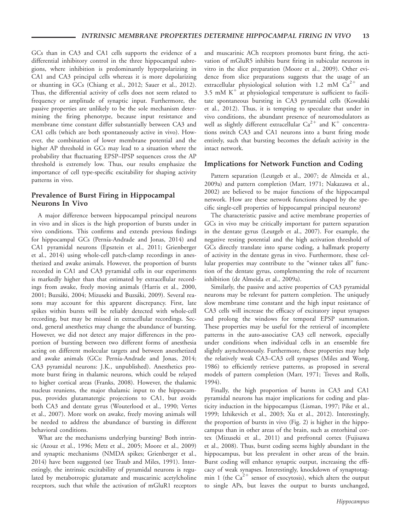GCs than in CA3 and CA1 cells supports the evidence of a differential inhibitory control in the three hippocampal subregions, where inhibition is predominantly hyperpolarizing in CA1 and CA3 principal cells whereas it is more depolarizing or shunting in GCs (Chiang et al., 2012; Sauer et al., 2012). Thus, the differential activity of cells does not seem related to frequency or amplitude of synaptic input. Furthermore, the passive properties are unlikely to be the sole mechanism determining the firing phenotype, because input resistance and membrane time constant differ substantially between CA3 and CA1 cells (which are both spontaneously active in vivo). However, the combination of lower membrane potential and the higher AP threshold in GCs may lead to a situation where the probability that fluctuating EPSP–IPSP sequences cross the AP threshold is extremely low. Thus, our results emphasize the importance of cell type-specific excitability for shaping activity patterns in vivo.

## Prevalence of Burst Firing in Hippocampal Neurons In Vivo

A major difference between hippocampal principal neurons in vivo and in slices is the high proportion of bursts under in vivo conditions. This confirms and extends previous findings for hippocampal GCs (Pernía-Andrade and Jonas, 2014) and CA1 pyramidal neurons (Epsztein et al., 2011; Grienberger et al., 2014) using whole-cell patch-clamp recordings in anesthetized and awake animals. However, the proportion of bursts recorded in CA1 and CA3 pyramidal cells in our experiments is markedly higher than that estimated by extracellular recordings from awake, freely moving animals (Harris et al., 2000, 2001; Buzsáki, 2004; Mizuseki and Buzsáki, 2009). Several reasons may account for this apparent discrepancy. First, late spikes within bursts will be reliably detected with whole-cell recording, but may be missed in extracellular recordings. Second, general anesthetics may change the abundance of bursting. However, we did not detect any major differences in the proportion of bursting between two different forms of anesthesia acting on different molecular targets and between anesthetized and awake animals (GCs: Pernía-Andrade and Jonas, 2014; CA3 pyramidal neurons: J.K., unpublished). Anesthetics promote burst firing in thalamic neurons, which could be relayed to higher cortical areas (Franks, 2008). However, the thalamic nucleus reuniens, the major thalamic input to the hippocampus, provides glutamatergic projections to CA1, but avoids both CA3 and dentate gyrus (Wouterlood et al., 1990; Vertes et al., 2007). More work on awake, freely moving animals will be needed to address the abundance of bursting in different behavioral conditions.

What are the mechanisms underlying bursting? Both intrinsic (Azouz et al., 1996; Metz et al., 2005; Moore et al., 2009) and synaptic mechanisms (NMDA spikes; Grienberger et al., 2014) have been suggested (see Traub and Miles, 1991). Interestingly, the intrinsic excitability of pyramidal neurons is regulated by metabotropic glutamate and muscarinic acetylcholine receptors, such that while the activation of mGluR1 receptors and muscarinic ACh receptors promotes burst firing, the activation of mGluR5 inhibits burst firing in subicular neurons in vitro in the slice preparation (Moore et al., 2009). Other evidence from slice preparations suggests that the usage of an extracellular physiological solution with 1.2 mM  $Ca^{2+}$  and  $3.5$  mM K<sup>+</sup> at physiological temperature is sufficient to facilitate spontaneous bursting in CA3 pyramidal cells (Kowalski et al., 2012). Thus, it is tempting to speculate that under in vivo conditions, the abundant presence of neuromodulators as well as slightly different extracellular  $Ca^{2+}$  and  $K^{+}$  concentrations switch CA3 and CA1 neurons into a burst firing mode entirely, such that bursting becomes the default activity in the intact network.

#### Implications for Network Function and Coding

Pattern separation (Leutgeb et al., 2007; de Almeida et al., 2009a) and pattern completion (Marr, 1971; Nakazawa et al., 2002) are believed to be major functions of the hippocampal network. How are these network functions shaped by the specific single-cell properties of hippocampal principal neurons?

The characteristic passive and active membrane properties of GCs in vivo may be critically important for pattern separation in the dentate gyrus (Leutgeb et al., 2007). For example, the negative resting potential and the high activation threshold of GCs directly translate into sparse coding, a hallmark property of activity in the dentate gyrus in vivo. Furthermore, these cellular properties may contribute to the "winner takes all" function of the dentate gyrus, complementing the role of recurrent inhibition (de Almeida et al., 2009a).

Similarly, the passive and active properties of CA3 pyramidal neurons may be relevant for pattern completion. The uniquely slow membrane time constant and the high input resistance of CA3 cells will increase the efficacy of excitatory input synapses and prolong the windows for temporal EPSP summation. These properties may be useful for the retrieval of incomplete patterns in the auto-associative CA3 cell network, especially under conditions when individual cells in an ensemble fire slightly asynchronously. Furthermore, these properties may help the relatively weak CA3–CA3 cell synapses (Miles and Wong, 1986) to efficiently retrieve patterns, as proposed in several models of pattern completion (Marr, 1971; Treves and Rolls, 1994).

Finally, the high proportion of bursts in CA3 and CA1 pyramidal neurons has major implications for coding and plasticity induction in the hippocampus (Lisman, 1997; Pike et al., 1999; Izhikevich et al., 2003; Xu et al., 2012). Interestingly, the proportion of bursts in vivo (Fig. 2) is higher in the hippocampus than in other areas of the brain, such as entorhinal cortex (Mizuseki et al., 2011) and prefrontal cortex (Fujisawa et al., 2008). Thus, burst coding seems highly abundant in the hippocampus, but less prevalent in other areas of the brain. Burst coding will enhance synaptic output, increasing the efficacy of weak synapses. Interestingly, knockdown of synaptotagmin 1 (the  $Ca^{2+}$  sensor of exocytosis), which alters the output to single APs, but leaves the output to bursts unchanged,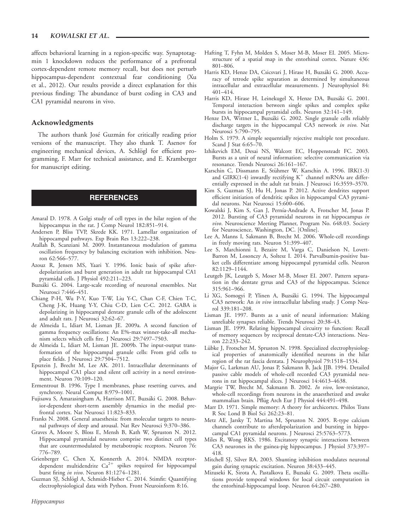#### 14 KOWALSKI ET AL.

affects behavioral learning in a region-specific way. Synaptotagmin 1 knockdown reduces the performance of a prefrontal cortex-dependent remote memory recall, but does not perturb hippocampus-dependent contextual fear conditioning (Xu et al., 2012). Our results provide a direct explanation for this previous finding: The abundance of burst coding in CA3 and CA1 pyramidal neurons in vivo.

#### Acknowledgments

The authors thank José Guzmán for critically reading prior versions of the manuscript. They also thank T. Asenov for engineering mechanical devices, A. Schlögl for efficient programming, F. Marr for technical assistance, and E. Kramberger for manuscript editing.

#### REFERENCES

- Amaral D. 1978. A Golgi study of cell types in the hilar region of the hippocampus in the rat. J Comp Neurol 182:851–914.
- Andersen P, Bliss TVP, Skrede KK. 1971. Lamellar organization of hippocampal pathways. Exp Brain Res 13:222–238.
- Atallah B, Scanziani M. 2009. Instantaneous modulation of gamma oscillation frequency by balancing excitation with inhibition. Neuron 62:566–577.
- Azouz R, Jensen MS, Yaari Y. 1996. Ionic basis of spike afterdepolarization and burst generation in adult rat hippocampal CA1 pyramidal cells. J Physiol 492:211–223.
- Buzsáki G. 2004. Large-scale recording of neuronal ensembles. Nat Neurosci 7:446–451.
- Chiang P-H, Wu P-Y, Kuo T-W, Liu Y-C, Chan C-F, Chien T-C, Cheng J-K, Huang Y-Y, Chiu C-D, Lien C-C. 2012. GABA is depolarizing in hippocampal dentate granule cells of the adolescent and adult rats. J Neurosci 32:62–67.
- de Almeida L, Idiart M, Lisman JE. 2009a. A second function of gamma frequency oscillations: An E%-max winner-take-all mechanism selects which cells fire. J Neurosci 29:7497–7503.
- de Almeida L, Idiart M, Lisman JE. 2009b. The input-output transformation of the hippocampal granule cells: From grid cells to place fields. J Neurosci 29:7504–7512.
- Epsztein J, Brecht M, Lee AK. 2011. Intracellular determinants of hippocampal CA1 place and silent cell activity in a novel environment. Neuron 70:109–120.
- Ermentrout B. 1996. Type I membranes, phase resetting curves, and synchrony. Neural Comput 8:979–1001.
- Fujisawa S, Amarasingham A, Harrison MT, Buzsáki G. 2008. Behavior-dependent short-term assembly dynamics in the medial prefrontal cortex. Nat Neurosci 11:823–833.
- Franks N. 2008. General anaesthesia: from molecular targets to neuronal pathways of sleep and arousal. Nat Rev Neurosci 9:370–386.
- Graves A, Moore S, Bloss E, Mensh B, Kath W, Spruston N. 2012. Hippocampal pyramidal neurons comprise two distinct cell types that are countermodulated by metabotropic receptors. Neuron 76: 776–789.
- Grienberger C, Chen X, Konnerth A. 2014. NMDA receptordependent multidendrite  $Ca^{2+}$  spikes required for hippocampal burst firing in vivo. Neuron 81:1274–1281.
- Guzman SJ, Schlögl A, Schmidt-Hieber C. 2014. Stimfit: Quantifying electrophysiological data with Python. Front Neuroinform 8:16.
- Hafting T, Fyhn M, Molden S, Moser M-B, Moser EI. 2005. Microstructure of a spatial map in the entorhinal cortex. Nature 436: 801–806.
- Harris KD, Henze DA, Csicsvari J, Hirase H, Buzsáki G. 2000. Accuracy of tetrode spike separation as determined by simultaneous intracellular and extracellular measurements. J Neurophysiol 84: 401–414.
- Harris KD, Hirase H, Leinekugel X, Henze DA, Buzsáki G. 2001. Temporal interaction between single spikes and complex spike bursts in hippocampal pyramidal cells. Neuron 32:141–149.
- Henze DA, Wittner L, Buzsáki G. 2002. Single granule cells reliably discharge targets in the hippocampal CA3 network in vivo. Nat Neurosci 5:790–795.
- Holm S. 1979. A simple sequentially rejective multiple test procedure. Scand J Stat 6:65–70.
- Izhikevich EM, Desai NS, Walcott EC, Hoppensteadt FC. 2003. Bursts as a unit of neural information: selective communication via resonance. Trends Neurosci 26:161–167.
- Karschin C, Dissmann E, Stühmer W, Karschin A. 1996. IRK(1-3) and GIRK(1-4) inwardly rectifying  $K^+$  channel mRNAs are differentially expressed in the adult rat brain. J Neurosci 16:3559–3570.
- Kim S, Guzman SJ, Hu H, Jonas P. 2012. Active dendrites support efficient initiation of dendritic spikes in hippocampal CA3 pyramidal neurons. Nat Neurosci 15:600–606.
- Kowalski J, Kim S, Gan J, Pernía-Andrade A, Frotscher M, Jonas P. 2012. Bursting of CA3 pyramidal neurons in rat hippocampus in vivo. Neuroscience Meeting Planner, Program No. 648.03. Society for Neuroscience, Washington, DC. [Online].
- Lee A, Manns I, Sakmann B, Brecht M. 2006. Whole-cell recordings in freely moving rats. Neuron 51:399–407.
- Lee S, Marchionni I, Bezaire M, Varga C, Danielson N, Lovett-Barron M, Losonczy A, Soltesz I. 2014. Parvalbumin-positive basket cells differentiate among hippocampal pyramidal cells. Neuron 82:1129–1144.
- Leutgeb JK, Leutgeb S, Moser M-B, Moser EI. 2007. Pattern separation in the dentate gyrus and CA3 of the hippocampus. Science 315:961–966.
- Li XG, Somogyi P, Ylinen A, Buzsáki G. 1994. The hippocampal CA3 network: An in vivo intracellular labeling study. J Comp Neurol 339:181–208.
- Lisman JE. 1997. Bursts as a unit of neural information: Making unreliable synapses reliable. Trends Neurosci 20:38–43.
- Lisman JE. 1999. Relating hippocampal circuitry to function: Recall of memory sequences by reciprocal dentate-CA3 interactions. Neuron 22:233–242.
- Lübke J, Frotscher M, Spruston N. 1998. Specialized electrophysiological properties of anatomically identified neurons in the hilar region of the rat fascia dentata. J Neurophysiol 79:1518–1534.
- Major G, Larkman AU, Jonas P, Sakmann B, Jack JJB. 1994. Detailed passive cable models of whole-cell recorded CA3 pyramidal neurons in rat hippocampal slices. J Neurosci 14:4613–4638.
- Margrie TW, Brecht M, Sakmann B. 2002. In vivo, low-resistance, whole-cell recordings from neurons in the anaesthetized and awake mammalian brain. Pflüg Arch Eur J Physiol 444:491-498.
- Marr D. 1971. Simple memory: A theory for archicortex. Philos Trans R Soc Lond B Biol Sci 262:23–81.
- Metz AE, Jarsky T, Martina M, Spruston N. 2005. R-type calcium channels contribute to afterdepolarization and bursting in hippocampal CA1 pyramidal neurons. J Neurosci 25:5763–5773.
- Miles R, Wong RKS. 1986. Excitatory synaptic interactions between CA3 neurones in the guinea-pig hippocampus. J Physiol 373:397– 418.
- Mitchell SJ, Silver RA. 2003. Shunting inhibition modulates neuronal gain during synaptic excitation. Neuron 38:433–445.
- Mizuseki K, Sirota A, Pastalkova E, Buzsaki G. 2009. Theta oscillations provide temporal windows for local circuit computation in the entorhinal-hippocampal loop. Neuron 64:267–280.